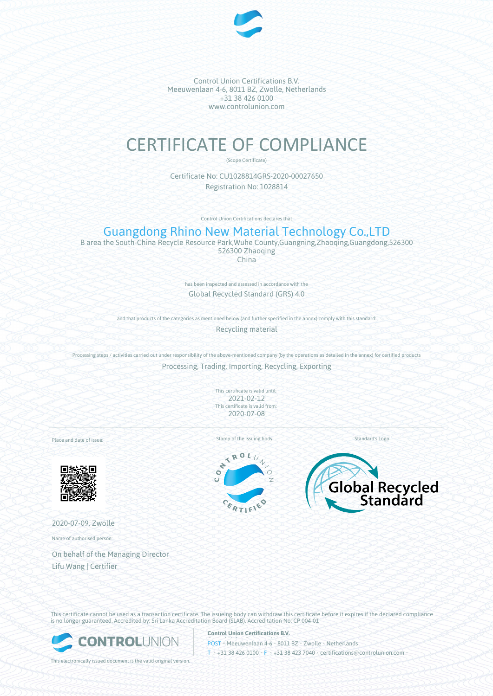

Control Union Certifications B.V. Meeuwenlaan 4-6, 8011 BZ, Zwolle, Netherlands +31 38 426 0100 www.controlunion.com

# CERTIFICATE OF COMPLIANCE

(Scope Certificate)

Certificate No: CU1028814GRS-2020-00027650 Registration No: 1028814

Control Union Certifications declares that

## Guangdong Rhino New Material Technology Co.,LTD

B area the South-China Recycle Resource Park,Wuhe County,Guangning,Zhaoqing,Guangdong,526300 526300 Zhaoqing China

> has been inspected and assessed in accordance with the Global Recycled Standard (GRS) 4.0

and that products of the categories as mentioned below (and further specified in the annex) comply with this standard:

Recycling material

Processing steps / activities carried out under responsibility of the above-mentioned company (by the operations as detailed in the annex) for certified products

Processing, Trading, Importing, Recycling, Exporting

This certificate is valid until: 2021-02-12 This certificate is valid from: 2020-07-08

Place and date of issue:



2020-07-09, Zwolle

Name of authorised person:

On behalf of the Managing Director Lifu Wang | Certifier

Stamp of the issuing body Standard's Logo

ROL  $\overline{\phantom{a}}$ ÷  $\bullet$ 





This certificate cannot be used as a transaction certificate. The issueing body can withdraw this certificate before it expires if the declared compliance is no longer guaranteed. Accredited by: Sri Lanka Accreditation Board (SLAB), Accreditation No: CP 004-01



This electronically issued document is the valid original version.

**Control Union Certifications B.V.**

POST • Meeuwenlaan 4-6 • 8011 BZ • Zwolle • Netherlands T • +31 38 426 0100 • F • +31 38 423 7040 • certifications@controlunion.com •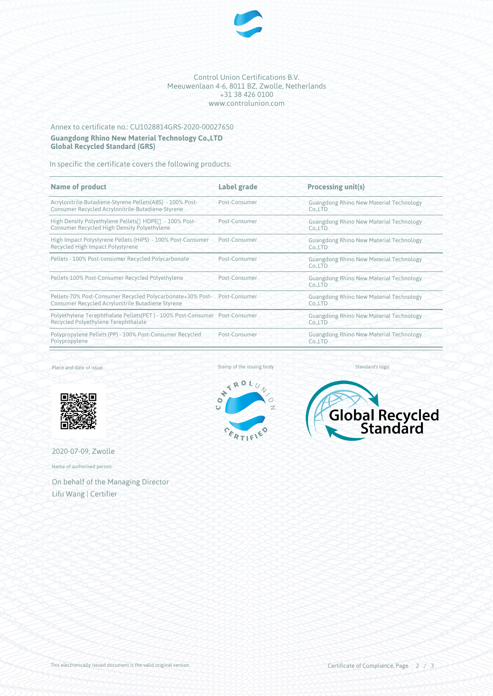

#### Control Union Certifications B.V. Meeuwenlaan 4-6, 8011 BZ, Zwolle, Netherlands +31 38 426 0100 www.controlunion.com

### Annex to certificate no.: CU1028814GRS-2020-00027650 **Guangdong Rhino New Material Technology Co.,LTD Global Recycled Standard (GRS)**

In specific the certificate covers the following products:

| <b>Name of product</b>                                                                                                        | Label grade   | Processing unit(s)                                                               |
|-------------------------------------------------------------------------------------------------------------------------------|---------------|----------------------------------------------------------------------------------|
| Acrylonitrile-Butadiene-Styrene Pellets(ABS) - 100% Post-<br>Consumer Recycled Acrylonitrile-Butadiene-Styrene                | Post-Consumer | <b>Guangdong Rhino New Material Technology</b><br>Co <sub>n</sub> LTD            |
| High Density Polyethylene Pellets HDPE - 100% Post-<br><b>Consumer Recycled High Density Polyethylene</b>                     | Post-Consumer | <b>Guangdong Rhino New Material Technology</b><br>Co <sub>n</sub> LTD            |
| High Impact Polystyrene Pellets (HIPS) - 100% Post-Consumer<br>Recycled High Impact Polystyrene                               | Post-Consumer | <b>Guangdong Rhino New Material Technology</b><br>Co <sub>n</sub> LTD            |
| Pellets - 100% Post-consumer Recycled Polycarbonate                                                                           | Post-Consumer | <b>Guangdong Rhino New Material Technology</b><br>Co.,LTD                        |
| Pellets-100% Post-Consumer Recycled Polyethylene                                                                              | Post-Consumer | <b>Guangdong Rhino New Material Technology</b><br>Co <sub>n</sub> LTD            |
| Pellets-70% Post-Consumer Recycled Polycarbonate+30% Post- Post-Consumer<br>Consumer Recycled Acrylonitrile Butadiene Styrene |               | <b>Guangdong Rhino New Material Technology</b><br>Co <sub>1</sub> <sub>LTD</sub> |
| Polyethylene Terephthalate Pellets(PET) - 100% Post-Consumer Post-Consumer<br>Recycled Polyethylene Terephthalate             |               | <b>Guangdong Rhino New Material Technology</b><br>Co <sub>n</sub> LTD            |
| Polypropylene Pellets (PP) - 100% Post-Consumer Recycled<br>Polypropylene                                                     | Post-Consumer | <b>Guangdong Rhino New Material Technology</b><br>Co <sub>n</sub> LTD            |
|                                                                                                                               |               |                                                                                  |

Place and date of issue:







2020-07-09, Zwolle

Name of authorised person:

On behalf of the Managing Director Lifu Wang | Certifier